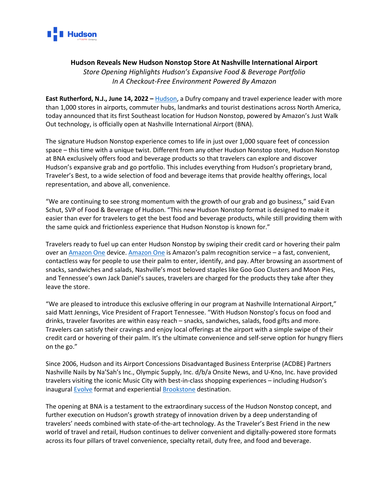

## **Hudson Reveals New Hudson Nonstop Store At Nashville International Airport**

*Store Opening Highlights Hudson's Expansive Food & Beverage Portfolio In A Checkout-Free Environment Powered By Amazon*

**East Rutherford, N.J., June 14, 2022 –** [Hudson,](http://www.hudsongroup.com/) a Dufry company and travel experience leader with more than 1,000 stores in airports, commuter hubs, landmarks and tourist destinations across North America, today announced that its first Southeast location for Hudson Nonstop, powered by Amazon's Just Walk Out technology, is officially open at Nashville International Airport (BNA).

The signature Hudson Nonstop experience comes to life in just over 1,000 square feet of concession space – this time with a unique twist. Different from any other Hudson Nonstop store, Hudson Nonstop at BNA exclusively offers food and beverage products so that travelers can explore and discover Hudson's expansive grab and go portfolio. This includes everything from Hudson's proprietary brand, Traveler's Best, to a wide selection of food and beverage items that provide healthy offerings, local representation, and above all, convenience.

"We are continuing to see strong momentum with the growth of our grab and go business," said Evan Schut, SVP of Food & Beverage of Hudson. "This new Hudson Nonstop format is designed to make it easier than ever for travelers to get the best food and beverage products, while still providing them with the same quick and frictionless experience that Hudson Nonstop is known for."

Travelers ready to fuel up can enter Hudson Nonstop by swiping their credit card or hovering their palm over an [Amazon One](https://www.hudsongroup.com/press_release/2021-12-14/hudson-becomes-first-travel-retailer-deploy-amazon-one) device. [Amazon One](https://one.amazon.com/) is Amazon's palm recognition service – a fast, convenient, contactless way for people to use their palm to enter, identify, and pay. After browsing an assortment of snacks, sandwiches and salads, Nashville's most beloved staples like Goo Goo Clusters and Moon Pies, and Tennessee's own Jack Daniel's sauces, travelers are charged for the products they take after they leave the store.

"We are pleased to introduce this exclusive offering in our program at Nashville International Airport," said Matt Jennings, Vice President of Fraport Tennessee. "With Hudson Nonstop's focus on food and drinks, traveler favorites are within easy reach – snacks, sandwiches, salads, food gifts and more. Travelers can satisfy their cravings and enjoy local offerings at the airport with a simple swipe of their credit card or hovering of their palm. It's the ultimate convenience and self-serve option for hungry fliers on the go."

Since 2006, Hudson and its Airport Concessions Disadvantaged Business Enterprise (ACDBE) Partners Nashville Nails by Na'Sah's Inc., Olympic Supply, Inc. d/b/a Onsite News, and U-Kno, Inc. have provided travelers visiting the iconic Music City with best-in-class shopping experiences – including Hudson's inaugural [Evolve](https://www.hudsongroup.com/press_release/2021-08-05/hudson-debuts-expansive-shop-shop-experience-store-evolve-hudson) format and experiential [Brookstone](https://www.hudsongroup.com/press_release/2021-10-06/hudson-reveals-transformed-brookstone-experience-north-american-airports) destination.

The opening at BNA is a testament to the extraordinary success of the Hudson Nonstop concept, and further execution on Hudson's growth strategy of innovation driven by a deep understanding of travelers' needs combined with state-of-the-art technology. As the Traveler's Best Friend in the new world of travel and retail, Hudson continues to deliver convenient and digitally-powered store formats across its four pillars of travel convenience, specialty retail, duty free, and food and beverage.